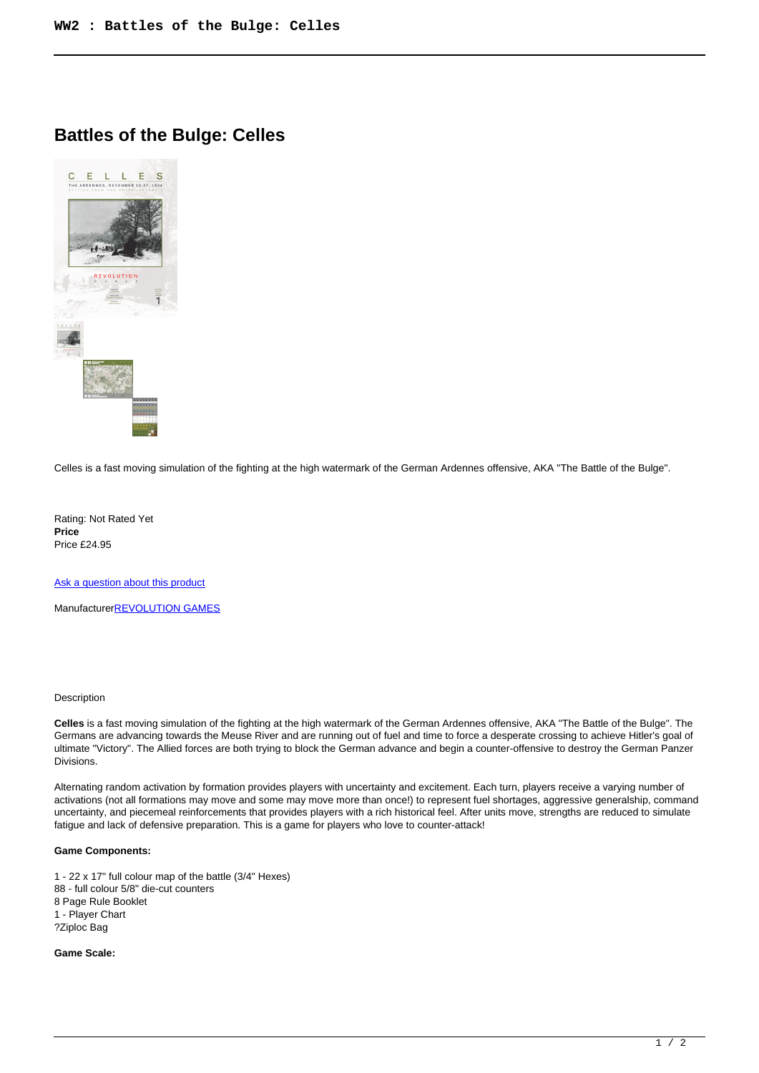## **Battles of the Bulge: Celles**



Celles is a fast moving simulation of the fighting at the high watermark of the German Ardennes offensive, AKA "The Battle of the Bulge".

Rating: Not Rated Yet **Price**  Price £24.95

[Ask a question about this product](https://www.secondchancegames.com/index.php?option=com_virtuemart&view=productdetails&task=askquestion&virtuemart_product_id=8940&virtuemart_category_id=5&tmpl=component)

Manufacturer[REVOLUTION GAMES](https://www.secondchancegames.com/index.php?option=com_virtuemart&view=manufacturer&virtuemart_manufacturer_id=2636&tmpl=component)

## Description

**Celles** is a fast moving simulation of the fighting at the high watermark of the German Ardennes offensive, AKA "The Battle of the Bulge". The Germans are advancing towards the Meuse River and are running out of fuel and time to force a desperate crossing to achieve Hitler's goal of ultimate "Victory". The Allied forces are both trying to block the German advance and begin a counter-offensive to destroy the German Panzer Divisions.

Alternating random activation by formation provides players with uncertainty and excitement. Each turn, players receive a varying number of activations (not all formations may move and some may move more than once!) to represent fuel shortages, aggressive generalship, command uncertainty, and piecemeal reinforcements that provides players with a rich historical feel. After units move, strengths are reduced to simulate fatigue and lack of defensive preparation. This is a game for players who love to counter-attack!

## **Game Components:**

1 - 22 x 17" full colour map of the battle (3/4" Hexes) 88 - full colour 5/8" die-cut counters 8 Page Rule Booklet 1 - Player Chart ?Ziploc Bag

## **Game Scale:**